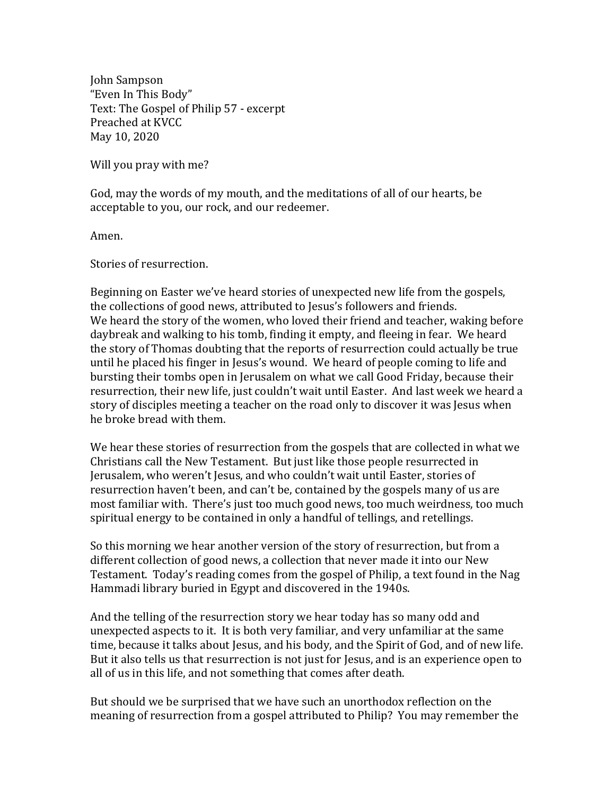John Sampson "Even In This Body" Text: The Gospel of Philip 57 - excerpt Preached at KVCC May 10, 2020

Will you pray with me?

God, may the words of my mouth, and the meditations of all of our hearts, be acceptable to you, our rock, and our redeemer.

Amen.

Stories of resurrection.

Beginning on Easter we've heard stories of unexpected new life from the gospels, the collections of good news, attributed to Jesus's followers and friends. We heard the story of the women, who loved their friend and teacher, waking before daybreak and walking to his tomb, finding it empty, and fleeing in fear. We heard the story of Thomas doubting that the reports of resurrection could actually be true until he placed his finger in Jesus's wound. We heard of people coming to life and bursting their tombs open in Jerusalem on what we call Good Friday, because their resurrection, their new life, just couldn't wait until Easter. And last week we heard a story of disciples meeting a teacher on the road only to discover it was Jesus when he broke bread with them.

We hear these stories of resurrection from the gospels that are collected in what we Christians call the New Testament. But just like those people resurrected in Jerusalem, who weren't Jesus, and who couldn't wait until Easter, stories of resurrection haven't been, and can't be, contained by the gospels many of us are most familiar with. There's just too much good news, too much weirdness, too much spiritual energy to be contained in only a handful of tellings, and retellings.

So this morning we hear another version of the story of resurrection, but from a different collection of good news, a collection that never made it into our New Testament. Today's reading comes from the gospel of Philip, a text found in the Nag Hammadi library buried in Egypt and discovered in the 1940s.

And the telling of the resurrection story we hear today has so many odd and unexpected aspects to it. It is both very familiar, and very unfamiliar at the same time, because it talks about Jesus, and his body, and the Spirit of God, and of new life. But it also tells us that resurrection is not just for Jesus, and is an experience open to all of us in this life, and not something that comes after death.

But should we be surprised that we have such an unorthodox reflection on the meaning of resurrection from a gospel attributed to Philip? You may remember the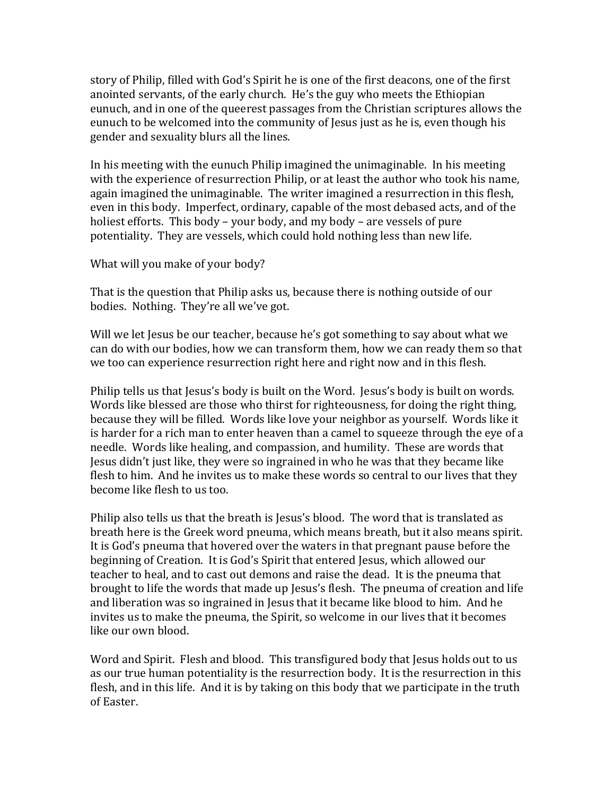story of Philip, filled with God's Spirit he is one of the first deacons, one of the first anointed servants, of the early church. He's the guy who meets the Ethiopian eunuch, and in one of the queerest passages from the Christian scriptures allows the eunuch to be welcomed into the community of Jesus just as he is, even though his gender and sexuality blurs all the lines.

In his meeting with the eunuch Philip imagined the unimaginable. In his meeting with the experience of resurrection Philip, or at least the author who took his name, again imagined the unimaginable. The writer imagined a resurrection in this flesh, even in this body. Imperfect, ordinary, capable of the most debased acts, and of the holiest efforts. This body – your body, and my body – are vessels of pure potentiality. They are vessels, which could hold nothing less than new life.

What will you make of your body?

That is the question that Philip asks us, because there is nothing outside of our bodies. Nothing. They're all we've got.

Will we let Jesus be our teacher, because he's got something to say about what we can do with our bodies, how we can transform them, how we can ready them so that we too can experience resurrection right here and right now and in this flesh.

Philip tells us that Jesus's body is built on the Word. Jesus's body is built on words. Words like blessed are those who thirst for righteousness, for doing the right thing, because they will be filled. Words like love your neighbor as yourself. Words like it is harder for a rich man to enter heaven than a camel to squeeze through the eye of a needle. Words like healing, and compassion, and humility. These are words that Jesus didn't just like, they were so ingrained in who he was that they became like flesh to him. And he invites us to make these words so central to our lives that they become like flesh to us too.

Philip also tells us that the breath is Jesus's blood. The word that is translated as breath here is the Greek word pneuma, which means breath, but it also means spirit. It is God's pneuma that hovered over the waters in that pregnant pause before the beginning of Creation. It is God's Spirit that entered Jesus, which allowed our teacher to heal, and to cast out demons and raise the dead. It is the pneuma that brought to life the words that made up Jesus's flesh. The pneuma of creation and life and liberation was so ingrained in Jesus that it became like blood to him. And he invites us to make the pneuma, the Spirit, so welcome in our lives that it becomes like our own blood.

Word and Spirit. Flesh and blood. This transfigured body that Jesus holds out to us as our true human potentiality is the resurrection body. It is the resurrection in this flesh, and in this life. And it is by taking on this body that we participate in the truth of Easter.